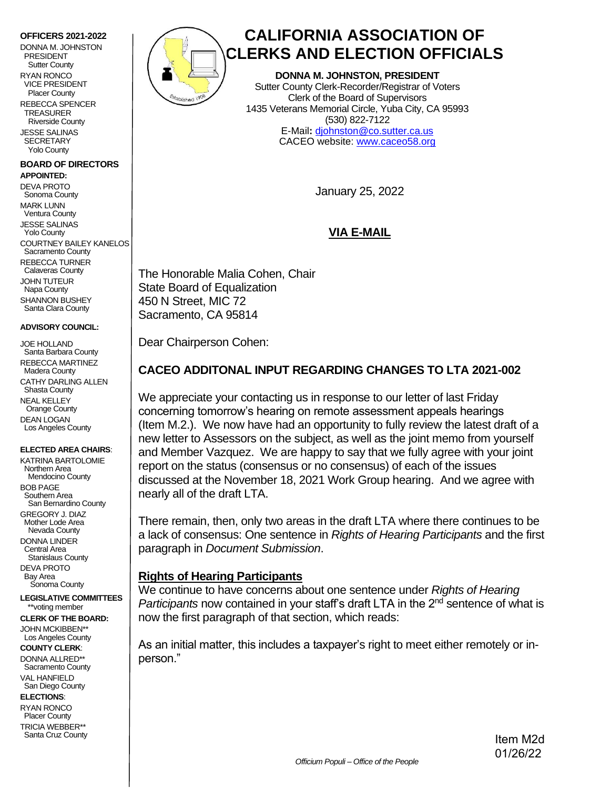#### **OFFICERS 2021-2022**

DONNA M. JOHNSTON PRESIDENT Sutter County RYAN RONCO VICE PRESIDENT Placer County REBECCA SPENCER

 TREASURER Riverside County JESSE SALINAS **SECRETARY** Yolo County

#### **BOARD OF DIRECTORS APPOINTED:**

DEVA PROTO Sonoma County MARK LUNN Ventura County JESSE SALINAS Yolo County COURTNEY BAILEY KANELOS Sacramento County REBECCA TURNER Calaveras County JOHN TUTEUR Napa County SHANNON BUSHEY Santa Clara County

#### **ADVISORY COUNCIL:**

JOE HOLLAND Santa Barbara County REBECCA MARTINEZ Madera County CATHY DARLING ALLEN Shasta County NEAL KELLEY Orange County DEAN LOGAN Los Angeles County

#### **ELECTED AREA CHAIRS**:

KATRINA BARTOLOMIE Northern Area Mendocino County BOB PAGE Southern Area San Bernardino County GREGORY J. DIAZ Mother Lode Area Nevada County DONNA LINDER Central Area Stanislaus County DEVA PROTO Bay Area Sonoma County

**LEGISLATIVE COMMITTEES** \*\*voting member

**CLERK OF THE BOARD:**  JOHN MCKIBBEN\*\* Los Angeles County

**COUNTY CLERK**:

DONNA ALLRED\*\* Sacramento County VAL HANFIELD San Diego County

**ELECTIONS**:

RYAN RONCO Placer County TRICIA WEBBER\*\* Santa Cruz County



# **CALIFORNIA ASSOCIATION OF CLERKS AND ELECTION OFFICIALS**

**DONNA M. JOHNSTON, PRESIDENT** Sutter County Clerk-Recorder/Registrar of Voters Clerk of the Board of Supervisors 1435 Veterans Memorial Circle, Yuba City, CA 95993 (530) 822-7122 E-Mail**:** [djohnston@co.sutter.ca.us](mailto:djohnston@co.sutter.ca.us) CACEO website: [www.caceo58.org](https://www.caceo58.org/)

January 25, 2022

## **VIA E-MAIL**

The Honorable Malia Cohen, Chair State Board of Equalization 450 N Street, MIC 72 Sacramento, CA 95814

Dear Chairperson Cohen:

## **CACEO ADDITONAL INPUT REGARDING CHANGES TO LTA 2021-002**

We appreciate your contacting us in response to our letter of last Friday concerning tomorrow's hearing on remote assessment appeals hearings (Item M.2.). We now have had an opportunity to fully review the latest draft of a new letter to Assessors on the subject, as well as the joint memo from yourself and Member Vazquez. We are happy to say that we fully agree with your joint report on the status (consensus or no consensus) of each of the issues discussed at the November 18, 2021 Work Group hearing. And we agree with nearly all of the draft LTA.

There remain, then, only two areas in the draft LTA where there continues to be a lack of consensus: One sentence in *Rights of Hearing Participants* and the first paragraph in *Document Submission*.

## **Rights of Hearing Participants**

We continue to have concerns about one sentence under *Rights of Hearing Participants* now contained in your staff's draft LTA in the 2<sup>nd</sup> sentence of what is now the first paragraph of that section, which reads:

As an initial matter, this includes a taxpayer's right to meet either remotely or inperson."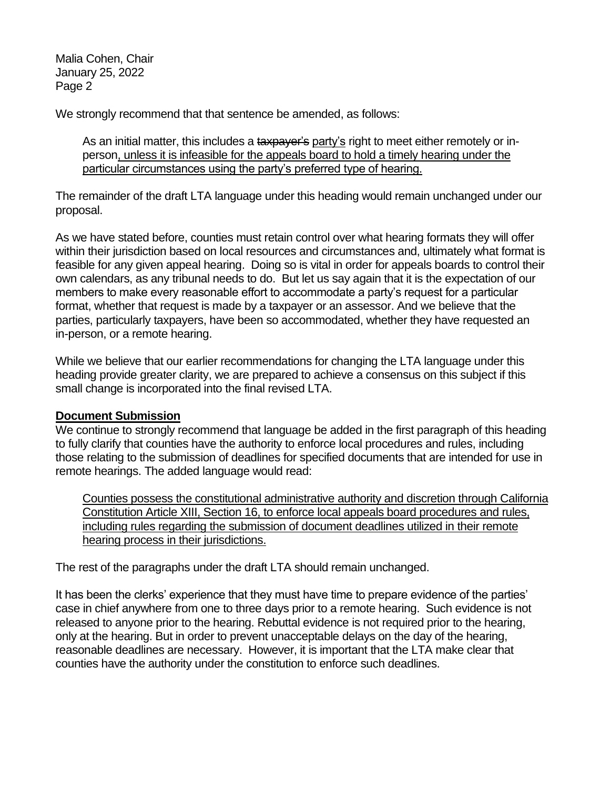Malia Cohen, Chair January 25, 2022 Page 2

We strongly recommend that that sentence be amended, as follows:

As an initial matter, this includes a taxpayer's party's right to meet either remotely or inperson, unless it is infeasible for the appeals board to hold a timely hearing under the particular circumstances using the party's preferred type of hearing.

The remainder of the draft LTA language under this heading would remain unchanged under our proposal.

As we have stated before, counties must retain control over what hearing formats they will offer within their jurisdiction based on local resources and circumstances and, ultimately what format is feasible for any given appeal hearing. Doing so is vital in order for appeals boards to control their own calendars, as any tribunal needs to do. But let us say again that it is the expectation of our members to make every reasonable effort to accommodate a party's request for a particular format, whether that request is made by a taxpayer or an assessor. And we believe that the parties, particularly taxpayers, have been so accommodated, whether they have requested an in-person, or a remote hearing.

While we believe that our earlier recommendations for changing the LTA language under this heading provide greater clarity, we are prepared to achieve a consensus on this subject if this small change is incorporated into the final revised LTA.

## **Document Submission**

We continue to strongly recommend that language be added in the first paragraph of this heading to fully clarify that counties have the authority to enforce local procedures and rules, including those relating to the submission of deadlines for specified documents that are intended for use in remote hearings. The added language would read:

Counties possess the constitutional administrative authority and discretion through California Constitution Article XIII, Section 16, to enforce local appeals board procedures and rules, including rules regarding the submission of document deadlines utilized in their remote hearing process in their jurisdictions.

The rest of the paragraphs under the draft LTA should remain unchanged.

It has been the clerks' experience that they must have time to prepare evidence of the parties' case in chief anywhere from one to three days prior to a remote hearing. Such evidence is not released to anyone prior to the hearing. Rebuttal evidence is not required prior to the hearing, only at the hearing. But in order to prevent unacceptable delays on the day of the hearing, reasonable deadlines are necessary. However, it is important that the LTA make clear that counties have the authority under the constitution to enforce such deadlines.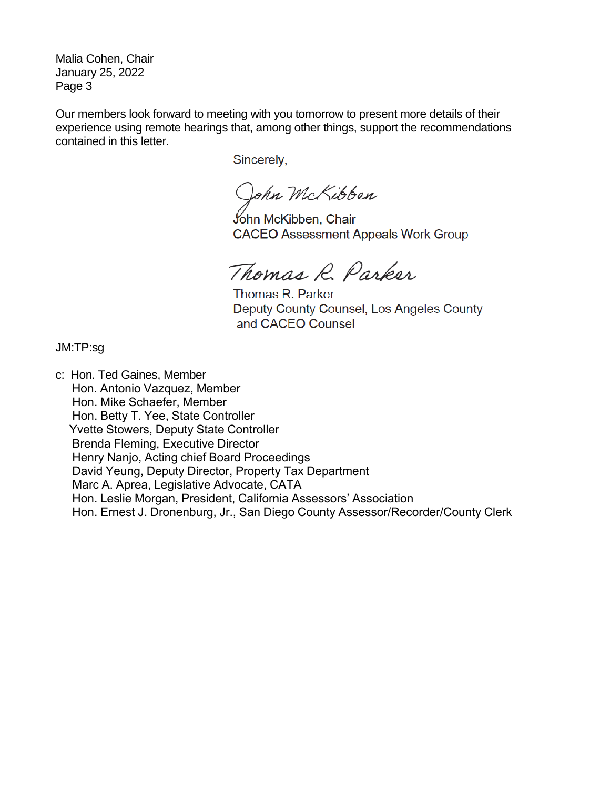Malia Cohen, Chair January 25, 2022 Page 3

Our members look forward to meeting with you tomorrow to present more details of their experience using remote hearings that, among other things, support the recommendations contained in this letter.

Sincerely,

John McKibben

John McKibben, Chair **CACEO Assessment Appeals Work Group** 

Thomas R. Parker

Thomas R. Parker Deputy County Counsel, Los Angeles County and CACEO Counsel

JM:TP:sg

c: Hon. Ted Gaines, Member Hon. Antonio Vazquez, Member Hon. Mike Schaefer, Member Hon. Betty T. Yee, State Controller Yvette Stowers, Deputy State Controller Brenda Fleming, Executive Director Henry Nanjo, Acting chief Board Proceedings David Yeung, Deputy Director, Property Tax Department Marc A. Aprea, Legislative Advocate, CATA Hon. Leslie Morgan, President, California Assessors' Association Hon. Ernest J. Dronenburg, Jr., San Diego County Assessor/Recorder/County Clerk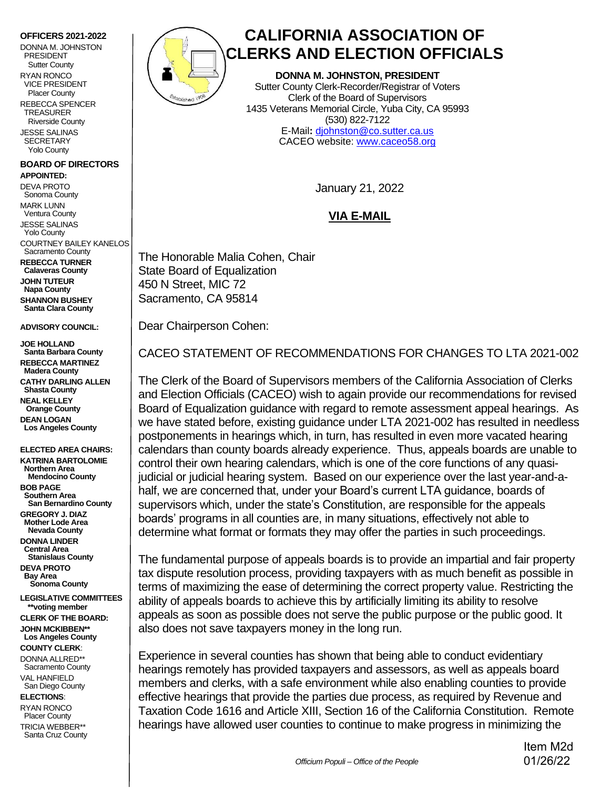#### **OFFICERS 2021-2022**

DONNA M. JOHNSTON PRESIDENT Sutter County

RYAN RONCO VICE PRESIDENT Placer County

REBECCA SPENCER TREASURER Riverside County

JESSE SALINAS **SECRETARY** Yolo County

## **BOARD OF DIRECTORS**

**APPOINTED:**  DEVA PROTO Sonoma County MARK LUNN Ventura County JESSE SALINAS Yolo County COURTNEY BAILEY KANELOS Sacramento County **REBECCA TURNER Calaveras County JOHN TUTEUR Napa County SHANNON BUSHEY Santa Clara County**

**ADVISORY COUNCIL:**

**JOE HOLLAND Santa Barbara County REBECCA MARTINEZ Madera County CATHY DARLING ALLEN Shasta County NEAL KELLEY Orange County DEAN LOGAN Los Angeles County**

**ELECTED AREA CHAIRS: KATRINA BARTOLOMIE Northern Area Mendocino County BOB PAGE Southern Area San Bernardino County GREGORY J. DIAZ Mother Lode Area Nevada County DONNA LINDER Central Area Stanislaus County DEVA PROTO Bay Area Sonoma County LEGISLATIVE COMMITTEES \*\*voting member CLERK OF THE BOARD: JOHN MCKIBBEN\*\***

 **Los Angeles County COUNTY CLERK**: DONNA ALLRED\*\*

 Sacramento County VAL HANFIELD San Diego County

**ELECTIONS**:

RYAN RONCO Placer County TRICIA WEBBER\*\* Santa Cruz County



# **CALIFORNIA ASSOCIATION OF CLERKS AND ELECTION OFFICIALS**

**DONNA M. JOHNSTON, PRESIDENT** Sutter County Clerk-Recorder/Registrar of Voters Clerk of the Board of Supervisors 1435 Veterans Memorial Circle, Yuba City, CA 95993 (530) 822-7122 E-Mail**:** [djohnston@co.sutter.ca.us](mailto:Borth@fresnocountyca.gov) CACEO website: [www.caceo58.org](http://www.caceo58.org/)

January 21, 2022

## **VIA E-MAIL**

The Honorable Malia Cohen, Chair State Board of Equalization 450 N Street, MIC 72 Sacramento, CA 95814

Dear Chairperson Cohen:

CACEO STATEMENT OF RECOMMENDATIONS FOR CHANGES TO LTA 2021-002

The Clerk of the Board of Supervisors members of the California Association of Clerks and Election Officials (CACEO) wish to again provide our recommendations for revised Board of Equalization guidance with regard to remote assessment appeal hearings. As we have stated before, existing guidance under LTA 2021-002 has resulted in needless postponements in hearings which, in turn, has resulted in even more vacated hearing calendars than county boards already experience. Thus, appeals boards are unable to control their own hearing calendars, which is one of the core functions of any quasijudicial or judicial hearing system. Based on our experience over the last year-and-ahalf, we are concerned that, under your Board's current LTA guidance, boards of supervisors which, under the state's Constitution, are responsible for the appeals boards' programs in all counties are, in many situations, effectively not able to determine what format or formats they may offer the parties in such proceedings.

The fundamental purpose of appeals boards is to provide an impartial and fair property tax dispute resolution process, providing taxpayers with as much benefit as possible in terms of maximizing the ease of determining the correct property value. Restricting the ability of appeals boards to achieve this by artificially limiting its ability to resolve appeals as soon as possible does not serve the public purpose or the public good. It also does not save taxpayers money in the long run.

Experience in several counties has shown that being able to conduct evidentiary hearings remotely has provided taxpayers and assessors, as well as appeals board members and clerks, with a safe environment while also enabling counties to provide effective hearings that provide the parties due process, as required by Revenue and Taxation Code 1616 and Article XIII, Section 16 of the California Constitution. Remote hearings have allowed user counties to continue to make progress in minimizing the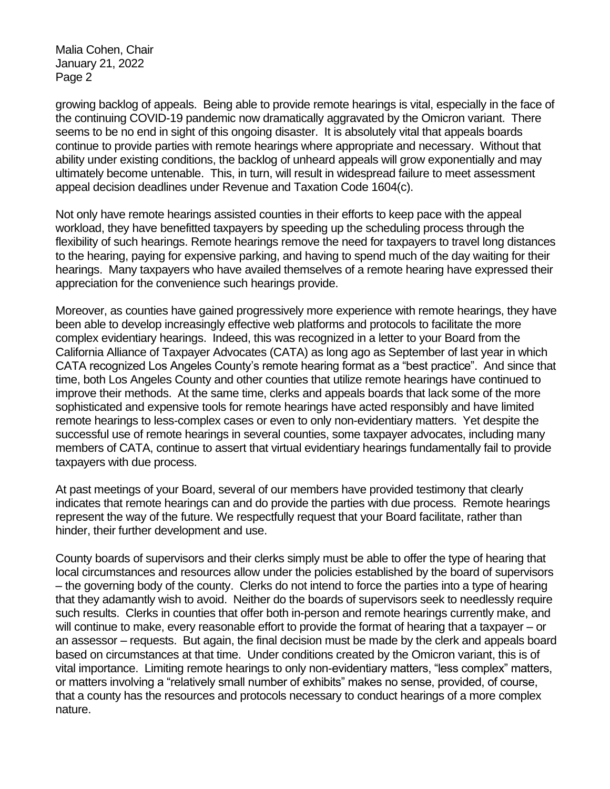Malia Cohen, Chair January 21, 2022 Page 2

growing backlog of appeals. Being able to provide remote hearings is vital, especially in the face of the continuing COVID-19 pandemic now dramatically aggravated by the Omicron variant. There seems to be no end in sight of this ongoing disaster. It is absolutely vital that appeals boards continue to provide parties with remote hearings where appropriate and necessary. Without that ability under existing conditions, the backlog of unheard appeals will grow exponentially and may ultimately become untenable. This, in turn, will result in widespread failure to meet assessment appeal decision deadlines under Revenue and Taxation Code 1604(c).

Not only have remote hearings assisted counties in their efforts to keep pace with the appeal workload, they have benefitted taxpayers by speeding up the scheduling process through the flexibility of such hearings. Remote hearings remove the need for taxpayers to travel long distances to the hearing, paying for expensive parking, and having to spend much of the day waiting for their hearings. Many taxpayers who have availed themselves of a remote hearing have expressed their appreciation for the convenience such hearings provide.

Moreover, as counties have gained progressively more experience with remote hearings, they have been able to develop increasingly effective web platforms and protocols to facilitate the more complex evidentiary hearings. Indeed, this was recognized in a letter to your Board from the California Alliance of Taxpayer Advocates (CATA) as long ago as September of last year in which CATA recognized Los Angeles County's remote hearing format as a "best practice". And since that time, both Los Angeles County and other counties that utilize remote hearings have continued to improve their methods. At the same time, clerks and appeals boards that lack some of the more sophisticated and expensive tools for remote hearings have acted responsibly and have limited remote hearings to less-complex cases or even to only non-evidentiary matters. Yet despite the successful use of remote hearings in several counties, some taxpayer advocates, including many members of CATA, continue to assert that virtual evidentiary hearings fundamentally fail to provide taxpayers with due process.

At past meetings of your Board, several of our members have provided testimony that clearly indicates that remote hearings can and do provide the parties with due process. Remote hearings represent the way of the future. We respectfully request that your Board facilitate, rather than hinder, their further development and use.

County boards of supervisors and their clerks simply must be able to offer the type of hearing that local circumstances and resources allow under the policies established by the board of supervisors – the governing body of the county. Clerks do not intend to force the parties into a type of hearing that they adamantly wish to avoid. Neither do the boards of supervisors seek to needlessly require such results. Clerks in counties that offer both in-person and remote hearings currently make, and will continue to make, every reasonable effort to provide the format of hearing that a taxpayer – or an assessor – requests. But again, the final decision must be made by the clerk and appeals board based on circumstances at that time. Under conditions created by the Omicron variant, this is of vital importance. Limiting remote hearings to only non-evidentiary matters, "less complex" matters, or matters involving a "relatively small number of exhibits" makes no sense, provided, of course, that a county has the resources and protocols necessary to conduct hearings of a more complex nature.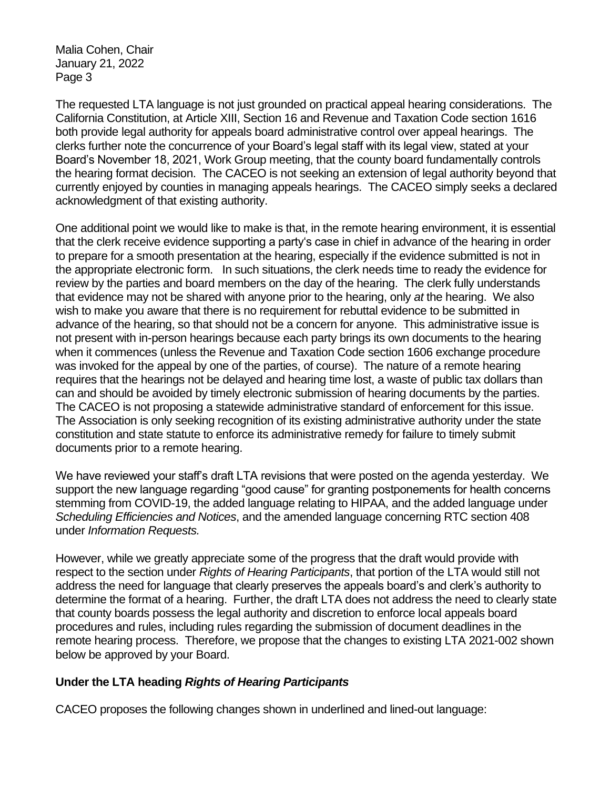Malia Cohen, Chair January 21, 2022 Page 3

The requested LTA language is not just grounded on practical appeal hearing considerations. The California Constitution, at Article XIII, Section 16 and Revenue and Taxation Code section 1616 both provide legal authority for appeals board administrative control over appeal hearings. The clerks further note the concurrence of your Board's legal staff with its legal view, stated at your Board's November 18, 2021, Work Group meeting, that the county board fundamentally controls the hearing format decision. The CACEO is not seeking an extension of legal authority beyond that currently enjoyed by counties in managing appeals hearings. The CACEO simply seeks a declared acknowledgment of that existing authority.

One additional point we would like to make is that, in the remote hearing environment, it is essential that the clerk receive evidence supporting a party's case in chief in advance of the hearing in order to prepare for a smooth presentation at the hearing, especially if the evidence submitted is not in the appropriate electronic form. In such situations, the clerk needs time to ready the evidence for review by the parties and board members on the day of the hearing. The clerk fully understands that evidence may not be shared with anyone prior to the hearing, only *at* the hearing. We also wish to make you aware that there is no requirement for rebuttal evidence to be submitted in advance of the hearing, so that should not be a concern for anyone. This administrative issue is not present with in-person hearings because each party brings its own documents to the hearing when it commences (unless the Revenue and Taxation Code section 1606 exchange procedure was invoked for the appeal by one of the parties, of course). The nature of a remote hearing requires that the hearings not be delayed and hearing time lost, a waste of public tax dollars than can and should be avoided by timely electronic submission of hearing documents by the parties. The CACEO is not proposing a statewide administrative standard of enforcement for this issue. The Association is only seeking recognition of its existing administrative authority under the state constitution and state statute to enforce its administrative remedy for failure to timely submit documents prior to a remote hearing.

We have reviewed your staff's draft LTA revisions that were posted on the agenda yesterday. We support the new language regarding "good cause" for granting postponements for health concerns stemming from COVID-19, the added language relating to HIPAA, and the added language under *Scheduling Efficiencies and Notices*, and the amended language concerning RTC section 408 under *Information Requests.*

However, while we greatly appreciate some of the progress that the draft would provide with respect to the section under *Rights of Hearing Participants*, that portion of the LTA would still not address the need for language that clearly preserves the appeals board's and clerk's authority to determine the format of a hearing. Further, the draft LTA does not address the need to clearly state that county boards possess the legal authority and discretion to enforce local appeals board procedures and rules, including rules regarding the submission of document deadlines in the remote hearing process. Therefore, we propose that the changes to existing LTA 2021-002 shown below be approved by your Board.

## **Under the LTA heading** *Rights of Hearing Participants*

CACEO proposes the following changes shown in underlined and lined-out language: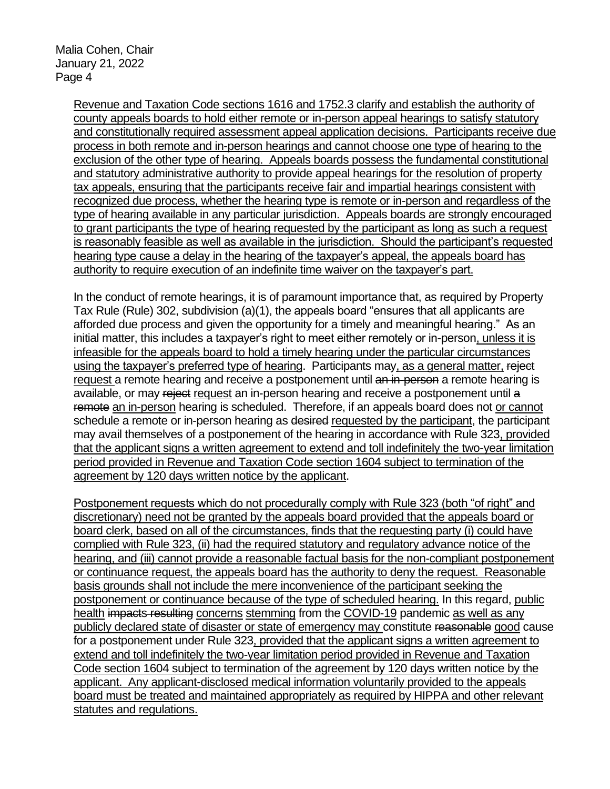Revenue and Taxation Code sections 1616 and 1752.3 clarify and establish the authority of county appeals boards to hold either remote or in-person appeal hearings to satisfy statutory and constitutionally required assessment appeal application decisions. Participants receive due process in both remote and in-person hearings and cannot choose one type of hearing to the exclusion of the other type of hearing. Appeals boards possess the fundamental constitutional and statutory administrative authority to provide appeal hearings for the resolution of property tax appeals, ensuring that the participants receive fair and impartial hearings consistent with recognized due process, whether the hearing type is remote or in-person and regardless of the type of hearing available in any particular jurisdiction. Appeals boards are strongly encouraged to grant participants the type of hearing requested by the participant as long as such a request is reasonably feasible as well as available in the jurisdiction. Should the participant's requested hearing type cause a delay in the hearing of the taxpayer's appeal, the appeals board has authority to require execution of an indefinite time waiver on the taxpayer's part.

In the conduct of remote hearings, it is of paramount importance that, as required by Property Tax Rule (Rule) 302, subdivision (a)(1), the appeals board "ensures that all applicants are afforded due process and given the opportunity for a timely and meaningful hearing." As an initial matter, this includes a taxpayer's right to meet either remotely or in-person, unless it is infeasible for the appeals board to hold a timely hearing under the particular circumstances using the taxpayer's preferred type of hearing. Participants may, as a general matter, reject request a remote hearing and receive a postponement until an in-person a remote hearing is available, or may reject request an in-person hearing and receive a postponement until a remote an in-person hearing is scheduled. Therefore, if an appeals board does not or cannot schedule a remote or in-person hearing as desired requested by the participant, the participant may avail themselves of a postponement of the hearing in accordance with Rule 323, provided that the applicant signs a written agreement to extend and toll indefinitely the two-year limitation period provided in Revenue and Taxation Code section 1604 subject to termination of the agreement by 120 days written notice by the applicant.

Postponement requests which do not procedurally comply with Rule 323 (both "of right" and discretionary) need not be granted by the appeals board provided that the appeals board or board clerk, based on all of the circumstances, finds that the requesting party (i) could have complied with Rule 323, (ii) had the required statutory and regulatory advance notice of the hearing, and (iii) cannot provide a reasonable factual basis for the non-compliant postponement or continuance request, the appeals board has the authority to deny the request. Reasonable basis grounds shall not include the mere inconvenience of the participant seeking the postponement or continuance because of the type of scheduled hearing. In this regard, public health impacts resulting concerns stemming from the COVID-19 pandemic as well as any publicly declared state of disaster or state of emergency may constitute reasonable good cause for a postponement under Rule 323, provided that the applicant signs a written agreement to extend and toll indefinitely the two-year limitation period provided in Revenue and Taxation Code section 1604 subject to termination of the agreement by 120 days written notice by the applicant. Any applicant-disclosed medical information voluntarily provided to the appeals board must be treated and maintained appropriately as required by HIPPA and other relevant statutes and regulations.